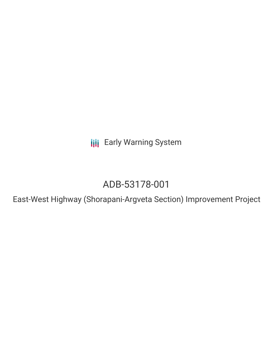**III** Early Warning System

# ADB-53178-001

East-West Highway (Shorapani-Argveta Section) Improvement Project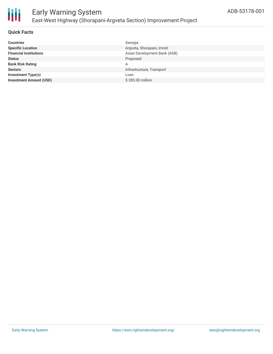

#### **Quick Facts**

| <b>Countries</b>               | Georgia                      |
|--------------------------------|------------------------------|
| <b>Specific Location</b>       | Argveta, Shorapani, Imreti   |
| <b>Financial Institutions</b>  | Asian Development Bank (ADB) |
| <b>Status</b>                  | Proposed                     |
| <b>Bank Risk Rating</b>        | Α                            |
| <b>Sectors</b>                 | Infrastructure, Transport    |
| Investment Type(s)             | Loan                         |
| <b>Investment Amount (USD)</b> | \$285.00 million             |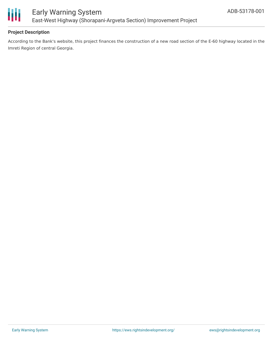

### **Project Description**

According to the Bank's website, this project finances the construction of a new road section of the E-60 highway located in the Imreti Region of central Georgia.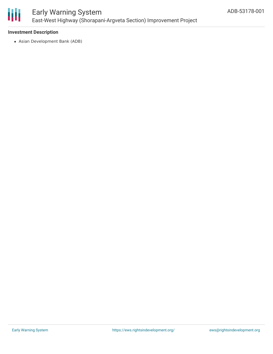

# Early Warning System East-West Highway (Shorapani-Argveta Section) Improvement Project

#### **Investment Description**

Asian Development Bank (ADB)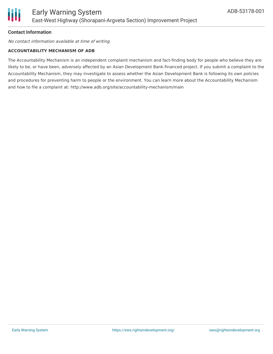### **Contact Information**

No contact information available at time of writing.

#### **ACCOUNTABILITY MECHANISM OF ADB**

The Accountability Mechanism is an independent complaint mechanism and fact-finding body for people who believe they are likely to be, or have been, adversely affected by an Asian Development Bank-financed project. If you submit a complaint to the Accountability Mechanism, they may investigate to assess whether the Asian Development Bank is following its own policies and procedures for preventing harm to people or the environment. You can learn more about the Accountability Mechanism and how to file a complaint at: http://www.adb.org/site/accountability-mechanism/main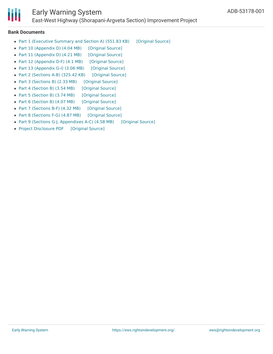

## Early Warning System

East-West Highway (Shorapani-Argveta Section) Improvement Project

#### **Bank Documents**

- Part 1 [\(Executive](https://ewsdata.rightsindevelopment.org/files/documents/01/ADB-53178-001_LKreQLk.pdf) Summary and Section A) (551.83 KB) [\[Original](https://www.adb.org/projects/documents/geo-53178-001-eia) Source]
- Part 10 [\(Appendix](https://ewsdata.rightsindevelopment.org/files/documents/01/ADB-53178-001_pJaVfPP.pdf) D) (4.04 MB) [\[Original](https://www.adb.org/projects/documents/geo-53178-001-eia) Source]
- Part 11 [\(Appendix](https://ewsdata.rightsindevelopment.org/files/documents/01/ADB-53178-001_hmgKwYE.pdf) D) (4.21 MB) [\[Original](https://www.adb.org/projects/documents/geo-53178-001-eia) Source]
- Part 12 [\(Appendix](https://ewsdata.rightsindevelopment.org/files/documents/01/ADB-53178-001_5CdSeYC.pdf) D-F) (4.1 MB) [\[Original](https://www.adb.org/projects/documents/geo-53178-001-eia) Source]
- Part 13 [\(Appendix](https://ewsdata.rightsindevelopment.org/files/documents/01/ADB-53178-001_BCpEgZB.pdf) G-I) (3.06 MB) [\[Original](https://www.adb.org/projects/documents/geo-53178-001-eia) Source]
- Part 2 [\(Sections](https://ewsdata.rightsindevelopment.org/files/documents/01/ADB-53178-001_OBe88yd.pdf) A-B) (325.42 KB) [\[Original](https://www.adb.org/projects/documents/geo-53178-001-eia) Source]
- Part 3 [\(Sections](https://ewsdata.rightsindevelopment.org/files/documents/01/ADB-53178-001_x6Ny282.pdf) B) (2.33 MB) [\[Original](https://www.adb.org/projects/documents/geo-53178-001-eia) Source]
- Part 4 [\(Section](https://ewsdata.rightsindevelopment.org/files/documents/01/ADB-53178-001_HnplRFg.pdf) B) (3.54 MB) [\[Original](https://www.adb.org/projects/documents/geo-53178-001-eia) Source]
- Part 5 [\(Section](https://ewsdata.rightsindevelopment.org/files/documents/01/ADB-53178-001_MRBCO3w.pdf) B) (3.74 MB) [\[Original](https://www.adb.org/projects/documents/geo-53178-001-eia) Source]
- Part 6 [\(Section](https://ewsdata.rightsindevelopment.org/files/documents/01/ADB-53178-001_7m4eYjM.pdf) B) (4.07 MB) [\[Original](https://www.adb.org/projects/documents/geo-53178-001-eia) Source]
- Part 7 [\(Sections](https://ewsdata.rightsindevelopment.org/files/documents/01/ADB-53178-001_Q5P6GvQ.pdf) B-F) (4.32 MB) [\[Original](https://www.adb.org/projects/documents/geo-53178-001-eia) Source]
- Part 8 [\(Sections](https://ewsdata.rightsindevelopment.org/files/documents/01/ADB-53178-001_C0v1Oc1.pdf) F-G) (4.87 MB) [\[Original](https://www.adb.org/projects/documents/geo-53178-001-eia) Source]
- Part 9 (Sections G-J, [Appendixes](https://ewsdata.rightsindevelopment.org/files/documents/01/ADB-53178-001_aK2hYA9.pdf) A-C) (4.58 MB) [\[Original](https://www.adb.org/projects/documents/geo-53178-001-eia) Source]
- Project [Disclosure](https://ewsdata.rightsindevelopment.org/files/documents/01/ADB-53178-001.pdf) PDF [\[Original](https://www.adb.org/printpdf/projects/53178-001/main) Source]